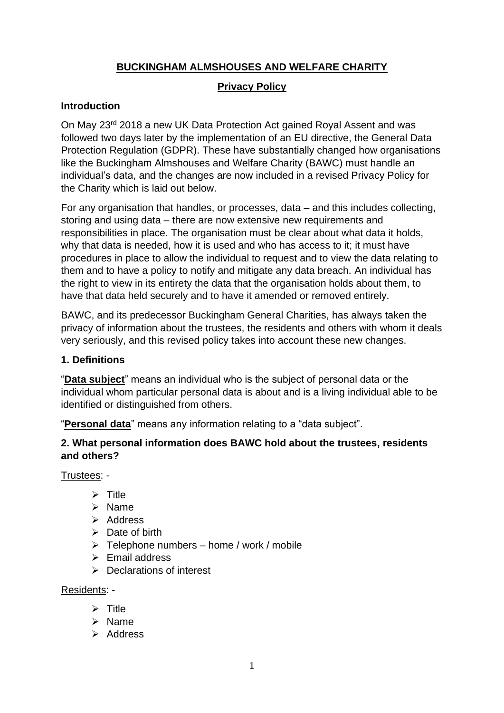## **BUCKINGHAM ALMSHOUSES AND WELFARE CHARITY**

### **Privacy Policy**

## **Introduction**

On May 23rd 2018 a new UK Data Protection Act gained Royal Assent and was followed two days later by the implementation of an EU directive, the General Data Protection Regulation (GDPR). These have substantially changed how organisations like the Buckingham Almshouses and Welfare Charity (BAWC) must handle an individual's data, and the changes are now included in a revised Privacy Policy for the Charity which is laid out below.

For any organisation that handles, or processes, data – and this includes collecting, storing and using data – there are now extensive new requirements and responsibilities in place. The organisation must be clear about what data it holds, why that data is needed, how it is used and who has access to it; it must have procedures in place to allow the individual to request and to view the data relating to them and to have a policy to notify and mitigate any data breach. An individual has the right to view in its entirety the data that the organisation holds about them, to have that data held securely and to have it amended or removed entirely.

BAWC, and its predecessor Buckingham General Charities, has always taken the privacy of information about the trustees, the residents and others with whom it deals very seriously, and this revised policy takes into account these new changes.

#### **1. Definitions**

"**Data subject**" means an individual who is the subject of personal data or the individual whom particular personal data is about and is a living individual able to be identified or distinguished from others.

"**Personal data**" means any information relating to a "data subject".

#### **2. What personal information does BAWC hold about the trustees, residents and others?**

Trustees: -

- ➢ Title
- ➢ Name
- ➢ Address
- $\triangleright$  Date of birth
- $\triangleright$  Telephone numbers home / work / mobile
- $\triangleright$  Email address
- ➢ Declarations of interest

Residents: -

- ➢ Title
- ➢ Name
- ➢ Address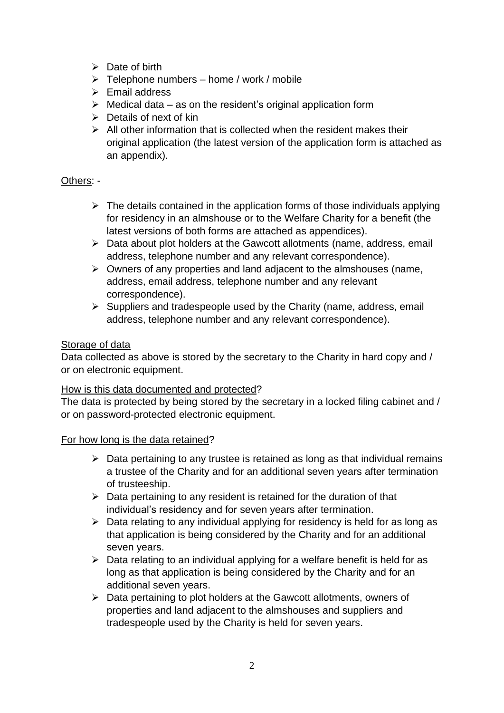- $\triangleright$  Date of birth
- $\triangleright$  Telephone numbers home / work / mobile
- ➢ Email address
- $\triangleright$  Medical data as on the resident's original application form
- $\triangleright$  Details of next of kin
- $\triangleright$  All other information that is collected when the resident makes their original application (the latest version of the application form is attached as an appendix).

#### Others: -

- $\triangleright$  The details contained in the application forms of those individuals applying for residency in an almshouse or to the Welfare Charity for a benefit (the latest versions of both forms are attached as appendices).
- ➢ Data about plot holders at the Gawcott allotments (name, address, email address, telephone number and any relevant correspondence).
- ➢ Owners of any properties and land adjacent to the almshouses (name, address, email address, telephone number and any relevant correspondence).
- ➢ Suppliers and tradespeople used by the Charity (name, address, email address, telephone number and any relevant correspondence).

#### Storage of data

Data collected as above is stored by the secretary to the Charity in hard copy and / or on electronic equipment.

#### How is this data documented and protected?

The data is protected by being stored by the secretary in a locked filing cabinet and / or on password-protected electronic equipment.

#### For how long is the data retained?

- $\triangleright$  Data pertaining to any trustee is retained as long as that individual remains a trustee of the Charity and for an additional seven years after termination of trusteeship.
- $\triangleright$  Data pertaining to any resident is retained for the duration of that individual's residency and for seven years after termination.
- ➢ Data relating to any individual applying for residency is held for as long as that application is being considered by the Charity and for an additional seven years.
- $\triangleright$  Data relating to an individual applying for a welfare benefit is held for as long as that application is being considered by the Charity and for an additional seven years.
- ➢ Data pertaining to plot holders at the Gawcott allotments, owners of properties and land adjacent to the almshouses and suppliers and tradespeople used by the Charity is held for seven years.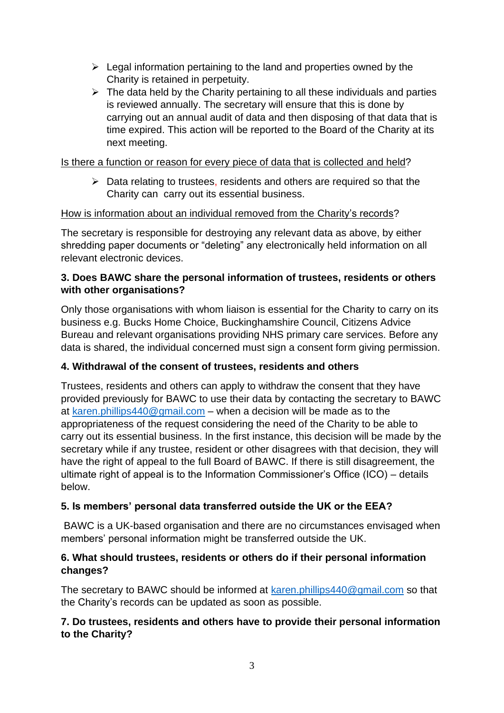- $\triangleright$  Legal information pertaining to the land and properties owned by the Charity is retained in perpetuity.
- $\triangleright$  The data held by the Charity pertaining to all these individuals and parties is reviewed annually. The secretary will ensure that this is done by carrying out an annual audit of data and then disposing of that data that is time expired. This action will be reported to the Board of the Charity at its next meeting.

#### Is there a function or reason for every piece of data that is collected and held?

 $\triangleright$  Data relating to trustees, residents and others are required so that the Charity can carry out its essential business.

#### How is information about an individual removed from the Charity's records?

The secretary is responsible for destroying any relevant data as above, by either shredding paper documents or "deleting" any electronically held information on all relevant electronic devices.

#### **3. Does BAWC share the personal information of trustees, residents or others with other organisations?**

Only those organisations with whom liaison is essential for the Charity to carry on its business e.g. Bucks Home Choice, Buckinghamshire Council, Citizens Advice Bureau and relevant organisations providing NHS primary care services. Before any data is shared, the individual concerned must sign a consent form giving permission.

#### **4. Withdrawal of the consent of trustees, residents and others**

Trustees, residents and others can apply to withdraw the consent that they have provided previously for BAWC to use their data by contacting the secretary to BAWC at [karen.phillips440@gmail.com](mailto:karen.phillips440@gmail.com) – when a decision will be made as to the appropriateness of the request considering the need of the Charity to be able to carry out its essential business. In the first instance, this decision will be made by the secretary while if any trustee, resident or other disagrees with that decision, they will have the right of appeal to the full Board of BAWC. If there is still disagreement, the ultimate right of appeal is to the Information Commissioner's Office (ICO) – details below.

#### **5. Is members' personal data transferred outside the UK or the EEA?**

BAWC is a UK-based organisation and there are no circumstances envisaged when members' personal information might be transferred outside the UK.

#### **6. What should trustees, residents or others do if their personal information changes?**

The secretary to BAWC should be informed at [karen.phillips440@gmail.com](mailto:karen.phillips440@gmail.com) so that the Charity's records can be updated as soon as possible.

#### **7. Do trustees, residents and others have to provide their personal information to the Charity?**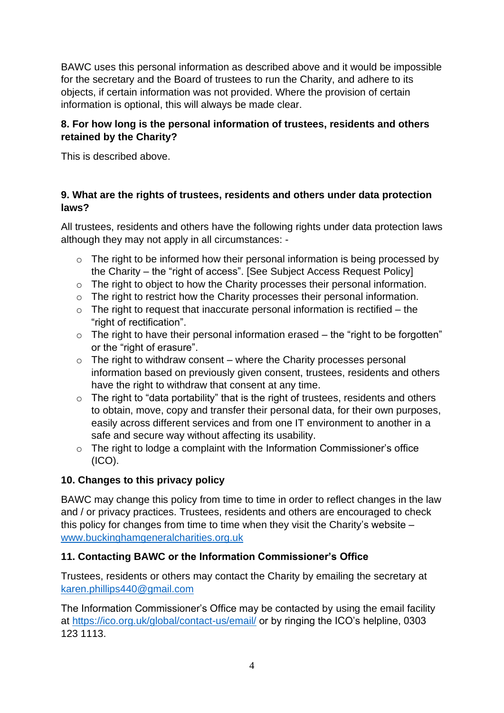BAWC uses this personal information as described above and it would be impossible for the secretary and the Board of trustees to run the Charity, and adhere to its objects, if certain information was not provided. Where the provision of certain information is optional, this will always be made clear.

## **8. For how long is the personal information of trustees, residents and others retained by the Charity?**

This is described above.

### **9. What are the rights of trustees, residents and others under data protection laws?**

All trustees, residents and others have the following rights under data protection laws although they may not apply in all circumstances: -

- o The right to be informed how their personal information is being processed by the Charity – the "right of access". [See Subject Access Request Policy]
- o The right to object to how the Charity processes their personal information.
- o The right to restrict how the Charity processes their personal information.
- $\circ$  The right to request that inaccurate personal information is rectified the "right of rectification".
- $\circ$  The right to have their personal information erased the "right to be forgotten" or the "right of erasure".
- $\circ$  The right to withdraw consent where the Charity processes personal information based on previously given consent, trustees, residents and others have the right to withdraw that consent at any time.
- o The right to "data portability" that is the right of trustees, residents and others to obtain, move, copy and transfer their personal data, for their own purposes, easily across different services and from one IT environment to another in a safe and secure way without affecting its usability.
- $\circ$  The right to lodge a complaint with the Information Commissioner's office (ICO).

## **10. Changes to this privacy policy**

BAWC may change this policy from time to time in order to reflect changes in the law and / or privacy practices. Trustees, residents and others are encouraged to check this policy for changes from time to time when they visit the Charity's website – [www.buckinghamgeneralcharities.org.uk](http://www.buckinghamgeneralcharities.org.uk/)

## **11. Contacting BAWC or the Information Commissioner's Office**

Trustees, residents or others may contact the Charity by emailing the secretary at [karen.phillips440@gmail.com](mailto:karen.phillips440@gmail.com)

The Information Commissioner's Office may be contacted by using the email facility at<https://ico.org.uk/global/contact-us/email/> or by ringing the ICO's helpline, 0303 123 1113.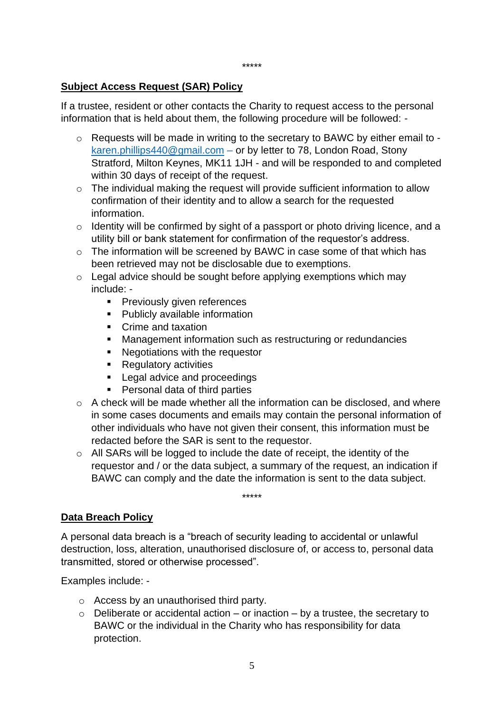#### **Subject Access Request (SAR) Policy**

If a trustee, resident or other contacts the Charity to request access to the personal information that is held about them, the following procedure will be followed: -

- $\circ$  Requests will be made in writing to the secretary to BAWC by either email to [karen.phillips440@gmail.com](mailto:karen.phillips440@gmail.com) – or by letter to 78, London Road, Stony Stratford, Milton Keynes, MK11 1JH - and will be responded to and completed within 30 days of receipt of the request.
- o The individual making the request will provide sufficient information to allow confirmation of their identity and to allow a search for the requested information.
- o Identity will be confirmed by sight of a passport or photo driving licence, and a utility bill or bank statement for confirmation of the requestor's address.
- o The information will be screened by BAWC in case some of that which has been retrieved may not be disclosable due to exemptions.
- $\circ$  Legal advice should be sought before applying exemptions which may include: -
	- **•** Previously given references
	- **•** Publicly available information
	- Crime and taxation
	- Management information such as restructuring or redundancies
	- Negotiations with the requestor
	- Regulatory activities
	- Legal advice and proceedings
	- Personal data of third parties
- $\circ$  A check will be made whether all the information can be disclosed, and where in some cases documents and emails may contain the personal information of other individuals who have not given their consent, this information must be redacted before the SAR is sent to the requestor.
- $\circ$  All SARs will be logged to include the date of receipt, the identity of the requestor and / or the data subject, a summary of the request, an indication if BAWC can comply and the date the information is sent to the data subject.

\*\*\*\*\*

#### **Data Breach Policy**

A personal data breach is a "breach of security leading to accidental or unlawful destruction, loss, alteration, unauthorised disclosure of, or access to, personal data transmitted, stored or otherwise processed".

Examples include: -

- o Access by an unauthorised third party.
- $\circ$  Deliberate or accidental action or inaction by a trustee, the secretary to BAWC or the individual in the Charity who has responsibility for data protection.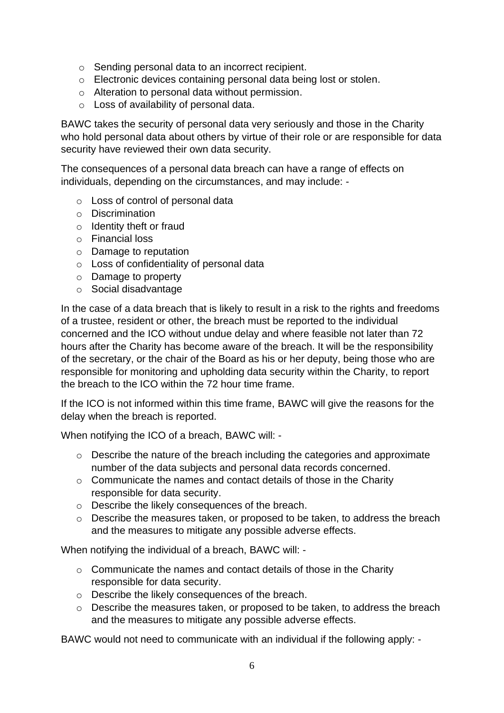- o Sending personal data to an incorrect recipient.
- o Electronic devices containing personal data being lost or stolen.
- o Alteration to personal data without permission.
- o Loss of availability of personal data.

BAWC takes the security of personal data very seriously and those in the Charity who hold personal data about others by virtue of their role or are responsible for data security have reviewed their own data security.

The consequences of a personal data breach can have a range of effects on individuals, depending on the circumstances, and may include: -

- o Loss of control of personal data
- o Discrimination
- o Identity theft or fraud
- o Financial loss
- o Damage to reputation
- o Loss of confidentiality of personal data
- o Damage to property
- o Social disadvantage

In the case of a data breach that is likely to result in a risk to the rights and freedoms of a trustee, resident or other, the breach must be reported to the individual concerned and the ICO without undue delay and where feasible not later than 72 hours after the Charity has become aware of the breach. It will be the responsibility of the secretary, or the chair of the Board as his or her deputy, being those who are responsible for monitoring and upholding data security within the Charity, to report the breach to the ICO within the 72 hour time frame.

If the ICO is not informed within this time frame, BAWC will give the reasons for the delay when the breach is reported.

When notifying the ICO of a breach, BAWC will: -

- o Describe the nature of the breach including the categories and approximate number of the data subjects and personal data records concerned.
- o Communicate the names and contact details of those in the Charity responsible for data security.
- o Describe the likely consequences of the breach.
- o Describe the measures taken, or proposed to be taken, to address the breach and the measures to mitigate any possible adverse effects.

When notifying the individual of a breach, BAWC will: -

- o Communicate the names and contact details of those in the Charity responsible for data security.
- o Describe the likely consequences of the breach.
- o Describe the measures taken, or proposed to be taken, to address the breach and the measures to mitigate any possible adverse effects.

BAWC would not need to communicate with an individual if the following apply: -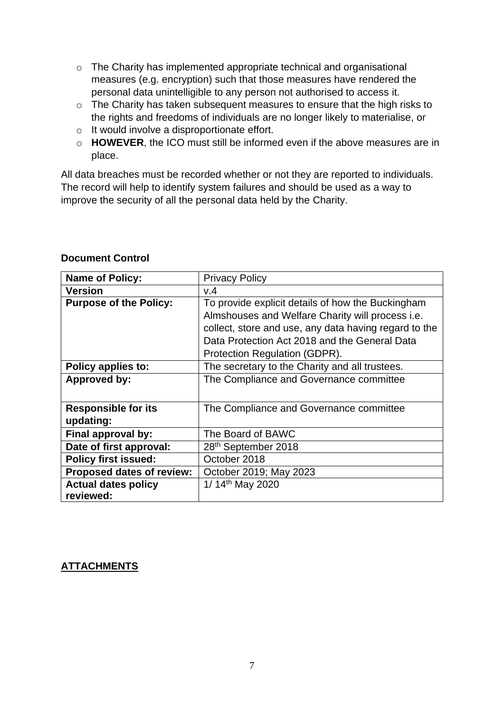- o The Charity has implemented appropriate technical and organisational measures (e.g. encryption) such that those measures have rendered the personal data unintelligible to any person not authorised to access it.
- o The Charity has taken subsequent measures to ensure that the high risks to the rights and freedoms of individuals are no longer likely to materialise, or
- o It would involve a disproportionate effort.
- o **HOWEVER**, the ICO must still be informed even if the above measures are in place.

All data breaches must be recorded whether or not they are reported to individuals. The record will help to identify system failures and should be used as a way to improve the security of all the personal data held by the Charity.

| <b>Name of Policy:</b>        | <b>Privacy Policy</b>                                   |  |
|-------------------------------|---------------------------------------------------------|--|
| <b>Version</b>                | V.4                                                     |  |
| <b>Purpose of the Policy:</b> | To provide explicit details of how the Buckingham       |  |
|                               | Almshouses and Welfare Charity will process <i>i.e.</i> |  |
|                               | collect, store and use, any data having regard to the   |  |
|                               | Data Protection Act 2018 and the General Data           |  |
|                               | Protection Regulation (GDPR).                           |  |
| Policy applies to:            | The secretary to the Charity and all trustees.          |  |
| <b>Approved by:</b>           | The Compliance and Governance committee                 |  |
|                               |                                                         |  |
| <b>Responsible for its</b>    | The Compliance and Governance committee                 |  |
| updating:                     |                                                         |  |
| Final approval by:            | The Board of BAWC                                       |  |
| Date of first approval:       | 28 <sup>th</sup> September 2018                         |  |
| <b>Policy first issued:</b>   | October 2018                                            |  |
| Proposed dates of review:     | October 2019; May 2023                                  |  |
| <b>Actual dates policy</b>    | 1/ 14th May 2020                                        |  |
| reviewed:                     |                                                         |  |

#### **Document Control**

#### **ATTACHMENTS**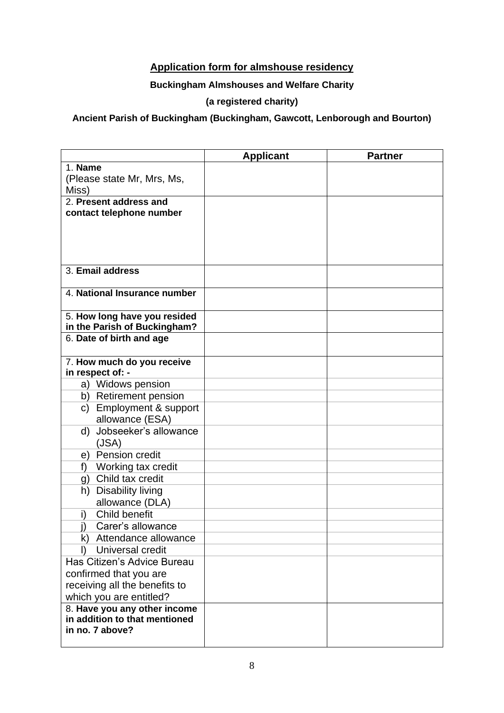## **Application form for almshouse residency**

### **Buckingham Almshouses and Welfare Charity**

## **(a registered charity)**

**Ancient Parish of Buckingham (Buckingham, Gawcott, Lenborough and Bourton)** 

|                                                          | <b>Applicant</b> | <b>Partner</b> |
|----------------------------------------------------------|------------------|----------------|
| 1. Name                                                  |                  |                |
| (Please state Mr, Mrs, Ms,                               |                  |                |
| Miss)                                                    |                  |                |
| 2. Present address and                                   |                  |                |
| contact telephone number                                 |                  |                |
|                                                          |                  |                |
|                                                          |                  |                |
|                                                          |                  |                |
| 3. Email address                                         |                  |                |
|                                                          |                  |                |
| 4. National Insurance number                             |                  |                |
|                                                          |                  |                |
| 5. How long have you resided                             |                  |                |
| in the Parish of Buckingham?<br>6. Date of birth and age |                  |                |
|                                                          |                  |                |
| 7. How much do you receive                               |                  |                |
| in respect of: -                                         |                  |                |
| a) Widows pension                                        |                  |                |
| b) Retirement pension                                    |                  |                |
| c) Employment & support                                  |                  |                |
| allowance (ESA)                                          |                  |                |
| d) Jobseeker's allowance                                 |                  |                |
| (JSA)                                                    |                  |                |
| e) Pension credit                                        |                  |                |
| Working tax credit<br>f                                  |                  |                |
| g) Child tax credit                                      |                  |                |
| h) Disability living<br>allowance (DLA)                  |                  |                |
| Child benefit<br>i)                                      |                  |                |
| j)<br>Carer's allowance                                  |                  |                |
| k) Attendance allowance                                  |                  |                |
| Universal credit<br>I)                                   |                  |                |
| Has Citizen's Advice Bureau                              |                  |                |
| confirmed that you are                                   |                  |                |
| receiving all the benefits to                            |                  |                |
| which you are entitled?                                  |                  |                |
| 8. Have you any other income                             |                  |                |
| in addition to that mentioned                            |                  |                |
| in no. 7 above?                                          |                  |                |
|                                                          |                  |                |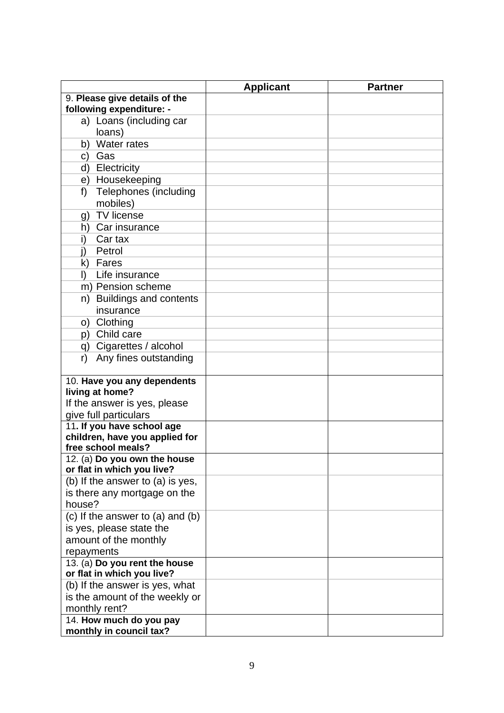| 9. Please give details of the                      |  |
|----------------------------------------------------|--|
| following expenditure: -                           |  |
| a) Loans (including car                            |  |
| loans)                                             |  |
| Water rates<br>b)                                  |  |
| c) Gas                                             |  |
| d) Electricity                                     |  |
| e) Housekeeping                                    |  |
| Telephones (including<br>f)                        |  |
| mobiles)                                           |  |
| <b>TV</b> license<br>g)                            |  |
| h) Car insurance                                   |  |
| Car tax<br>i)                                      |  |
| Petrol                                             |  |
| k) Fares                                           |  |
| Life insurance<br>I)                               |  |
| m) Pension scheme                                  |  |
| <b>Buildings and contents</b><br>n)                |  |
| insurance                                          |  |
| o) Clothing                                        |  |
| p) Child care                                      |  |
| q) Cigarettes / alcohol                            |  |
| Any fines outstanding<br>r)                        |  |
|                                                    |  |
| 10. Have you any dependents                        |  |
| living at home?<br>If the answer is yes, please    |  |
| give full particulars                              |  |
| 11. If you have school age                         |  |
| children, have you applied for                     |  |
| free school meals?                                 |  |
| 12. (a) Do you own the house                       |  |
| or flat in which you live?                         |  |
| (b) If the answer to (a) is yes,                   |  |
| is there any mortgage on the                       |  |
| house?                                             |  |
| (c) If the answer to $(a)$ and $(b)$               |  |
| is yes, please state the                           |  |
| amount of the monthly                              |  |
| repayments                                         |  |
| 13. (a) Do you rent the house                      |  |
| or flat in which you live?                         |  |
| (b) If the answer is yes, what                     |  |
| is the amount of the weekly or                     |  |
| monthly rent?                                      |  |
| 14. How much do you pay<br>monthly in council tax? |  |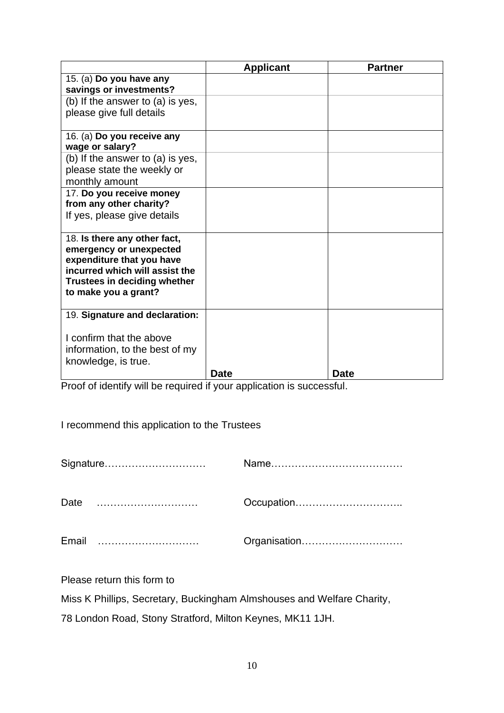|                                                                                                                                                                                       | <b>Applicant</b> | <b>Partner</b> |
|---------------------------------------------------------------------------------------------------------------------------------------------------------------------------------------|------------------|----------------|
| 15. (a) Do you have any<br>savings or investments?                                                                                                                                    |                  |                |
| (b) If the answer to (a) is yes,<br>please give full details                                                                                                                          |                  |                |
| 16. (a) Do you receive any<br>wage or salary?                                                                                                                                         |                  |                |
| (b) If the answer to (a) is yes,<br>please state the weekly or<br>monthly amount                                                                                                      |                  |                |
| 17. Do you receive money<br>from any other charity?<br>If yes, please give details                                                                                                    |                  |                |
| 18. Is there any other fact,<br>emergency or unexpected<br>expenditure that you have<br>incurred which will assist the<br><b>Trustees in deciding whether</b><br>to make you a grant? |                  |                |
| 19. Signature and declaration:                                                                                                                                                        |                  |                |
| I confirm that the above<br>information, to the best of my<br>knowledge, is true.                                                                                                     |                  |                |
|                                                                                                                                                                                       | <b>Date</b>      | <b>Date</b>    |

Proof of identify will be required if your application is successful.

I recommend this application to the Trustees

|      | Signature |              |
|------|-----------|--------------|
| Date |           | Occupation   |
|      |           | Organisation |

Please return this form to

Miss K Phillips, Secretary, Buckingham Almshouses and Welfare Charity,

78 London Road, Stony Stratford, Milton Keynes, MK11 1JH.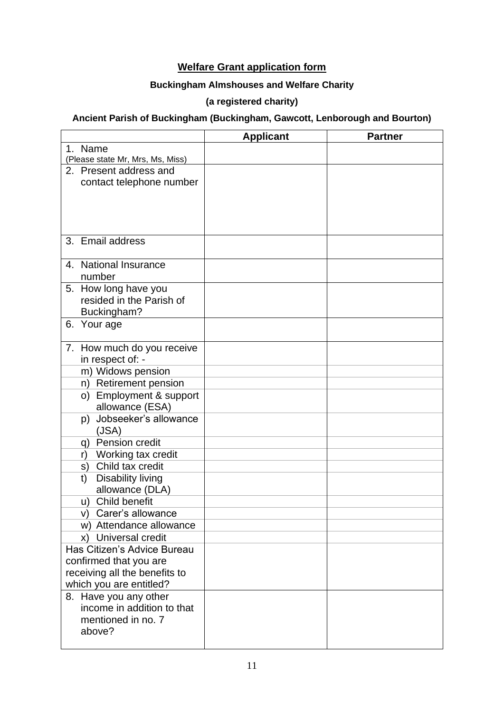## **Welfare Grant application form**

## **Buckingham Almshouses and Welfare Charity**

## **(a registered charity)**

## **Ancient Parish of Buckingham (Buckingham, Gawcott, Lenborough and Bourton)**

|                                  | <b>Applicant</b> | <b>Partner</b> |
|----------------------------------|------------------|----------------|
| 1. Name                          |                  |                |
| (Please state Mr, Mrs, Ms, Miss) |                  |                |
| 2. Present address and           |                  |                |
| contact telephone number         |                  |                |
|                                  |                  |                |
|                                  |                  |                |
|                                  |                  |                |
|                                  |                  |                |
| 3. Email address                 |                  |                |
|                                  |                  |                |
| 4. National Insurance            |                  |                |
| number                           |                  |                |
| 5. How long have you             |                  |                |
| resided in the Parish of         |                  |                |
| Buckingham?                      |                  |                |
| 6.<br>Your age                   |                  |                |
|                                  |                  |                |
| 7. How much do you receive       |                  |                |
| in respect of: -                 |                  |                |
| m) Widows pension                |                  |                |
| n) Retirement pension            |                  |                |
| o) Employment & support          |                  |                |
| allowance (ESA)                  |                  |                |
| Jobseeker's allowance<br>p)      |                  |                |
| (JSA)                            |                  |                |
| q) Pension credit                |                  |                |
| Working tax credit<br>r)         |                  |                |
| s) Child tax credit              |                  |                |
| <b>Disability living</b><br>t)   |                  |                |
| allowance (DLA)                  |                  |                |
| u) Child benefit                 |                  |                |
| v) Carer's allowance             |                  |                |
| w) Attendance allowance          |                  |                |
| x) Universal credit              |                  |                |
| Has Citizen's Advice Bureau      |                  |                |
| confirmed that you are           |                  |                |
| receiving all the benefits to    |                  |                |
| which you are entitled?          |                  |                |
| 8. Have you any other            |                  |                |
| income in addition to that       |                  |                |
| mentioned in no. 7               |                  |                |
| above?                           |                  |                |
|                                  |                  |                |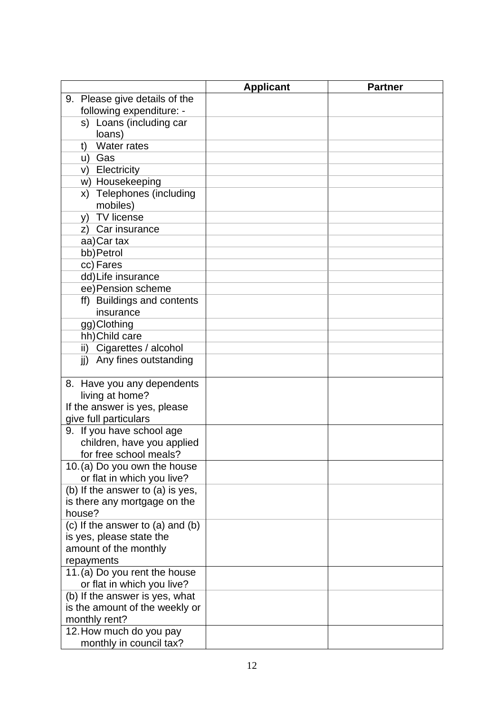|                                                            | <b>Applicant</b> | <b>Partner</b> |
|------------------------------------------------------------|------------------|----------------|
| 9. Please give details of the                              |                  |                |
| following expenditure: -                                   |                  |                |
| s) Loans (including car                                    |                  |                |
| loans)                                                     |                  |                |
| <b>Water rates</b><br>t)                                   |                  |                |
| u) Gas                                                     |                  |                |
| v) Electricity                                             |                  |                |
| w) Housekeeping                                            |                  |                |
| x) Telephones (including                                   |                  |                |
| mobiles)                                                   |                  |                |
| y) TV license                                              |                  |                |
| z) Car insurance                                           |                  |                |
| aa)Car tax                                                 |                  |                |
| bb) Petrol                                                 |                  |                |
| cc) Fares                                                  |                  |                |
| dd)Life insurance                                          |                  |                |
| ee) Pension scheme                                         |                  |                |
| ff) Buildings and contents                                 |                  |                |
| insurance                                                  |                  |                |
| gg)Clothing                                                |                  |                |
| hh) Child care                                             |                  |                |
| ii) Cigarettes / alcohol                                   |                  |                |
| jj) Any fines outstanding                                  |                  |                |
|                                                            |                  |                |
| 8. Have you any dependents                                 |                  |                |
| living at home?                                            |                  |                |
| If the answer is yes, please                               |                  |                |
| give full particulars                                      |                  |                |
| 9. If you have school age                                  |                  |                |
| children, have you applied<br>for free school meals?       |                  |                |
|                                                            |                  |                |
| 10. (a) Do you own the house<br>or flat in which you live? |                  |                |
| (b) If the answer to (a) is yes,                           |                  |                |
| is there any mortgage on the                               |                  |                |
| house?                                                     |                  |                |
| (c) If the answer to $(a)$ and $(b)$                       |                  |                |
| is yes, please state the                                   |                  |                |
| amount of the monthly                                      |                  |                |
| repayments                                                 |                  |                |
| 11.(a) Do you rent the house                               |                  |                |
| or flat in which you live?                                 |                  |                |
| (b) If the answer is yes, what                             |                  |                |
| is the amount of the weekly or                             |                  |                |
| monthly rent?                                              |                  |                |
| 12. How much do you pay                                    |                  |                |
| monthly in council tax?                                    |                  |                |